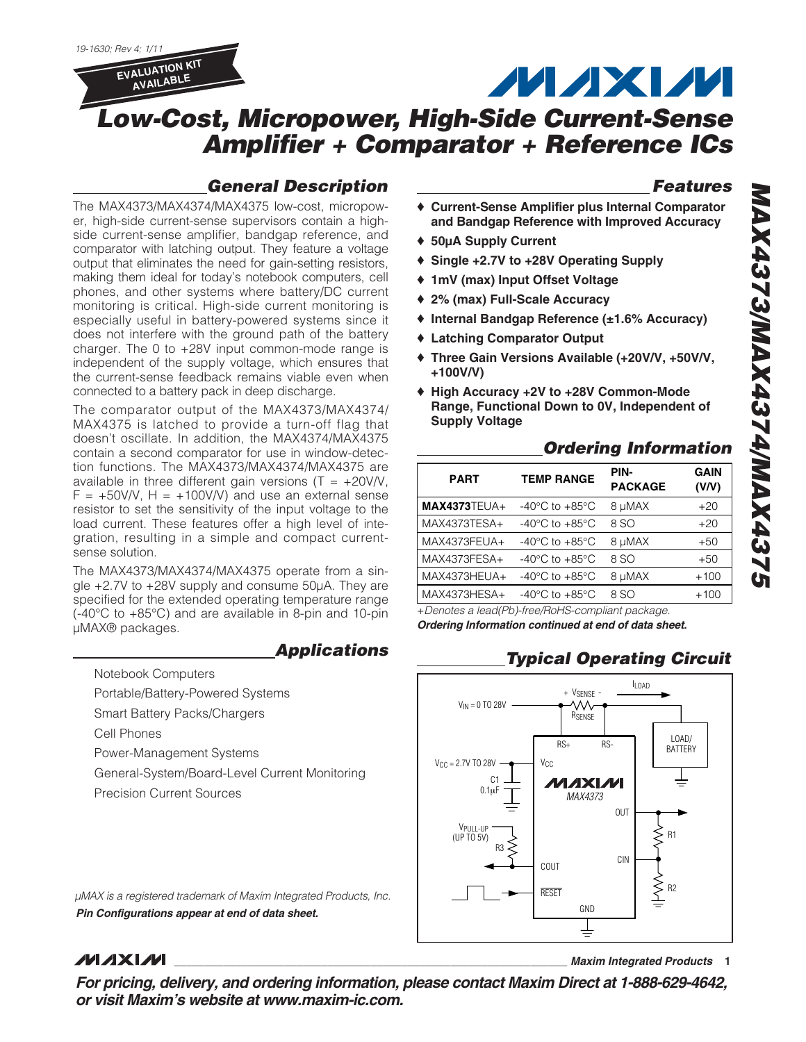19-1630; Rev 4; 1/11



# **MAXM**

# **Low-Cost, Micropower, High-Side Current-Sense Amplifier + Comparator + Reference ICs**

# **General Description**

The MAX4373/MAX4374/MAX4375 low-cost, micropower, high-side current-sense supervisors contain a highside current-sense amplifier, bandgap reference, and comparator with latching output. They feature a voltage output that eliminates the need for gain-setting resistors, making them ideal for today's notebook computers, cell phones, and other systems where battery/DC current monitoring is critical. High-side current monitoring is especially useful in battery-powered systems since it does not interfere with the ground path of the battery charger. The 0 to +28V input common-mode range is independent of the supply voltage, which ensures that the current-sense feedback remains viable even when

connected to a battery pack in deep discharge.

The comparator output of the MAX4373/MAX4374/ MAX4375 is latched to provide a turn-off flag that doesn't oscillate. In addition, the MAX4374/MAX4375 contain a second comparator for use in window-detection functions. The MAX4373/MAX4374/MAX4375 are available in three different gain versions  $(T = +20V/V,$  $F = +50V/V$ , H =  $+100V/V$ ) and use an external sense resistor to set the sensitivity of the input voltage to the load current. These features offer a high level of integration, resulting in a simple and compact current-

The MAX4373/MAX4374/MAX4375 operate from a single +2.7V to +28V supply and consume 50µA. They are specified for the extended operating temperature range (-40°C to +85°C) and are available in 8-pin and 10-pin

**Applications**

**Features**

- ♦ **Current-Sense Amplifier plus Internal Comparator and Bandgap Reference with Improved Accuracy**
- ♦ **50µA Supply Current**
- ♦ **Single +2.7V to +28V Operating Supply**
- ♦ **1mV (max) Input Offset Voltage**
- ♦ **2% (max) Full-Scale Accuracy**
- ♦ **Internal Bandgap Reference (±1.6% Accuracy)**
- ♦ **Latching Comparator Output**
- ♦ **Three Gain Versions Available (+20V/V, +50V/V, +100V/V)**
- ♦ **High Accuracy +2V to +28V Common-Mode Range, Functional Down to 0V, Independent of Supply Voltage**

# **Ordering Information**

| <b>PART</b>    | <b>TEMP RANGE</b>                                    | PIN-<br><b>PACKAGE</b> | <b>GAIN</b><br>(V/V) |
|----------------|------------------------------------------------------|------------------------|----------------------|
| $MAX4373TEUA+$ | -40 $^{\circ}$ C to +85 $^{\circ}$ C                 | 8 µMAX                 | $+20$                |
| MAX4373TESA+   | -40 $\mathrm{^{\circ}C}$ to +85 $\mathrm{^{\circ}C}$ | 8 SO                   | $+20$                |
| MAX4373FEUA+   | -40 $^{\circ}$ C to +85 $^{\circ}$ C                 | 8 µMAX                 | $+50$                |
| MAX4373FESA+   | $-40^{\circ}$ C to $+85^{\circ}$ C                   | 8 SO                   | $+50$                |
| MAX4373HEUA+   | -40 $^{\circ}$ C to +85 $^{\circ}$ C                 | 8 µMAX                 | $+100$               |
| MAX4373HESA+   | $-40^{\circ}$ C to $+85^{\circ}$ C                   | 8 SO                   | $+100$               |
|                |                                                      |                        |                      |

+Denotes a lead(Pb)-free/RoHS-compliant package. **Ordering Information continued at end of data sheet.**

# **Typical Operating Circuit**



**Pin Configurations appear at end of data sheet.** µMAX is a registered trademark of Maxim Integrated Products, Inc.

General-System/Board-Level Current Monitoring

# **MAXIM**

sense solution.

µMAX® packages.

Cell Phones

Notebook Computers

Portable/Battery-Powered Systems Smart Battery Packs/Chargers

Power-Management Systems

Precision Current Sources

**\_\_\_\_\_\_\_\_\_\_\_\_\_\_\_\_\_\_\_\_\_\_\_\_\_\_\_\_\_\_\_\_\_\_\_\_\_\_\_\_\_\_\_\_\_\_\_\_\_\_\_\_\_\_\_\_\_\_\_\_\_\_\_\_ Maxim Integrated Products 1**

**For pricing, delivery, and ordering information, please contact Maxim Direct at 1-888-629-4642, or visit Maxim's website at www.maxim-ic.com.**

**MAX4373/MAX4374/MAX4375 GZEPXVM/PZEPXVMM/EZEPXVM**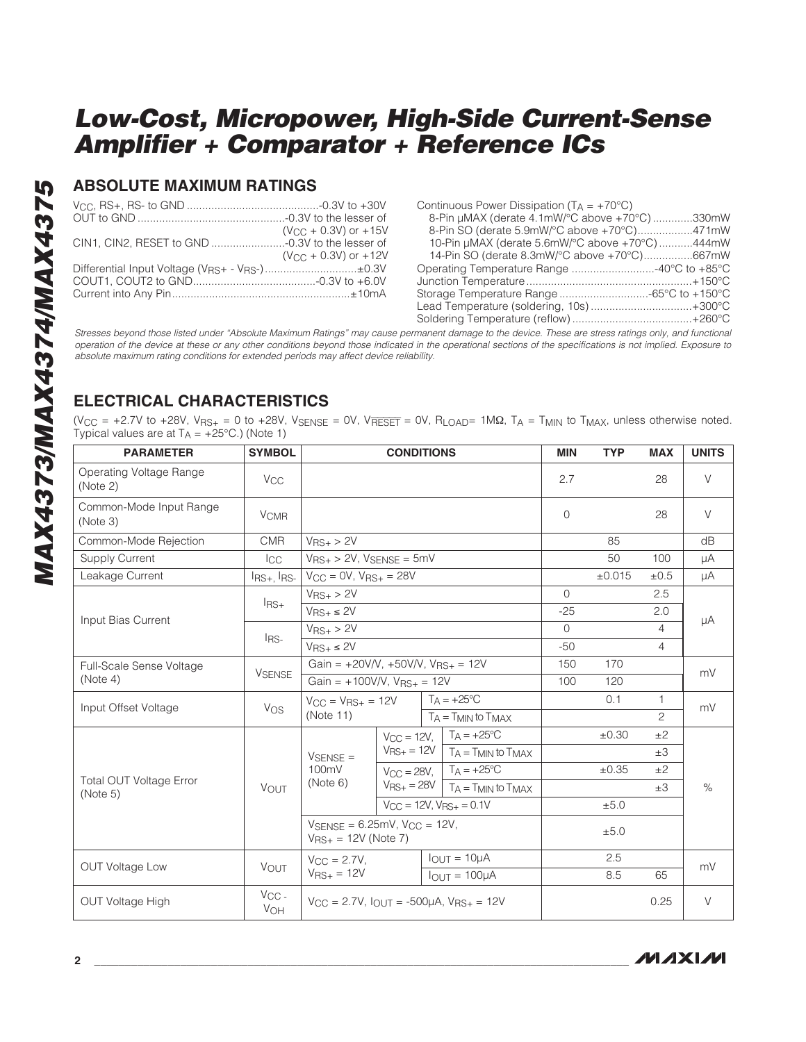### **ABSOLUTE MAXIMUM RATINGS**

|                                                                                                                                                                           |                                 | Cor                      |
|---------------------------------------------------------------------------------------------------------------------------------------------------------------------------|---------------------------------|--------------------------|
|                                                                                                                                                                           |                                 | 8                        |
|                                                                                                                                                                           | $(V_{C} + 0.3V)$ or +15V        | g                        |
|                                                                                                                                                                           |                                 | $\mathbf 1$              |
|                                                                                                                                                                           | $(V_{\rm CC} + 0.3V)$ or $+12V$ | $\overline{\phantom{0}}$ |
| Differential Input Voltage (VRS+ - VRS-)±0.3V                                                                                                                             |                                 | Op <sub>t</sub>          |
|                                                                                                                                                                           |                                 | Jun                      |
|                                                                                                                                                                           |                                 | Sto                      |
|                                                                                                                                                                           |                                 | Lea                      |
|                                                                                                                                                                           |                                 | Sol                      |
| Stresses beyond those listed under "Absolute Maximum Ratings" may cause permane<br>operation of the device at these or any other conditions beyond those indicated in the |                                 |                          |
| absolute maximum rating conditions for extended periods may affect device reliability.                                                                                    |                                 |                          |

| Continuous Power Dissipation $(T_A = +70^{\circ}C)$ |  |
|-----------------------------------------------------|--|
| 8-Pin µMAX (derate 4.1mW/°C above +70°C)330mW       |  |
| 8-Pin SO (derate 5.9mW/°C above +70°C)471mW         |  |
| 10-Pin µMAX (derate 5.6mW/°C above +70°C) 444mW     |  |
| 14-Pin SO (derate 8.3mW/°C above +70°C)667mW        |  |
| Operating Temperature Range 40°C to +85°C           |  |
|                                                     |  |
|                                                     |  |
| Lead Temperature (soldering, 10s)+300°C             |  |
|                                                     |  |
|                                                     |  |

Stresses beyond those listed under "Absolute Maximum Ratings" may cause permanent damage to the device. These are stress ratings only, and functional operation of the device at these or any other conditions beyond those indicated in the operational sections of the specifications is not implied. Exposure to

# **ELECTRICAL CHARACTERISTICS**

(V<sub>CC</sub> = +2.7V to +28V, V<sub>RS+</sub> = 0 to +28V, V<sub>SENSE</sub> = 0V, V<sub>RESET</sub> = 0V, R<sub>LOAD</sub>= 1M $\Omega$ , T<sub>A</sub> = T<sub>MIN</sub> to T<sub>MAX</sub>, unless otherwise noted. Typical values are at  $T_A = +25^{\circ}C$ .) (Note 1)

| <b>PARAMETER</b>                    | <b>SYMBOL</b>            | <b>CONDITIONS</b>                                                                                 |  | <b>MIN</b> | <b>TYP</b>                                                                 | <b>MAX</b>   | <b>UNITS</b> |                |        |
|-------------------------------------|--------------------------|---------------------------------------------------------------------------------------------------|--|------------|----------------------------------------------------------------------------|--------------|--------------|----------------|--------|
| Operating Voltage Range<br>(Note 2) | <b>V<sub>CC</sub></b>    |                                                                                                   |  |            |                                                                            | 2.7          |              | 28             | $\vee$ |
| Common-Mode Input Range<br>(Note 3) | <b>V<sub>CMR</sub></b>   |                                                                                                   |  |            |                                                                            | $\Omega$     |              | 28             | $\vee$ |
| Common-Mode Rejection               | <b>CMR</b>               | $V_{RS+}$ > 2V                                                                                    |  |            |                                                                            |              | 85           |                | dB     |
| <b>Supply Current</b>               | $_{\rm{ICC}}$            | $V_{\text{RS}+}$ > 2V, $V_{\text{SENSE}} = 5mV$                                                   |  |            |                                                                            |              | 50           | 100            | μA     |
| Leakage Current                     | $I_{RS+}$ , $I_{RS-}$    | $V_{CC} = 0V$ , $V_{RS+} = 28V$                                                                   |  |            |                                                                            |              | ±0.015       | ±0.5           | μA     |
|                                     | $l_{\text{RS}+}$         | $V_{\text{RS}+}$ > 2V                                                                             |  |            |                                                                            | $\Omega$     |              | 2.5            |        |
| Input Bias Current                  |                          | $V_{RS+} \leq 2V$                                                                                 |  |            |                                                                            | $-25$        |              | 2.0            | μA     |
|                                     | $IRS-$                   | $V_{RS+}$ > 2V                                                                                    |  |            |                                                                            | $\Omega$     |              | $\overline{4}$ |        |
|                                     |                          | $V_{RS+} \leq 2V$                                                                                 |  | $-50$      |                                                                            | 4            |              |                |        |
| Full-Scale Sense Voltage            | <b>VSENSE</b>            | Gain = $+20V/V$ , $+50V/V$ , $V_{RS+} = 12V$                                                      |  |            |                                                                            | 150          | 170          |                | mV     |
| (Note 4)                            |                          | Gain = $+100V/V$ , $V_{\text{RS}+} = 12V$                                                         |  | 100        | 120                                                                        |              |              |                |        |
| Input Offset Voltage                | Vos                      | $V_{CC} = V_{RS+} = 12V$ $T_A = +25°C$                                                            |  |            | 0.1                                                                        | $\mathbf{1}$ | mV           |                |        |
|                                     |                          | (Note 11)                                                                                         |  |            | $T_A = T_{MIN}$ to $T_{MAX}$                                               |              |              | 2              |        |
|                                     |                          |                                                                                                   |  |            | $V_{CC} = 12V$ , $T_A = +25°C$                                             |              | $\pm 0.30$   | ±2             |        |
|                                     |                          | $V$ SENSE =                                                                                       |  |            | $V_{\text{RS}+} = 12V$   $T_A = T_{\text{MIN}}$ to $T_{\text{MAX}}$        |              |              | $\pm 3$        |        |
| <b>Total OUT Voltage Error</b>      |                          | 100mV                                                                                             |  |            | $V_{CC} = 28V, \ \ \vert \ \ T_A = +25^{\circ}C$                           |              | $\pm 0.35$   | ±2             |        |
| (Note 5)                            | <b>VOUT</b>              | (Note 6)                                                                                          |  |            | $V_{\text{RS}+} = 28V$ $T_{\text{A}} = T_{\text{MIN}}$ to $T_{\text{MAX}}$ |              |              | $\pm 3$        | $\%$   |
|                                     |                          |                                                                                                   |  |            | $V_{CC} = 12V$ , $V_{RS+} = 0.1V$                                          |              | ±5.0         |                |        |
|                                     |                          | $V_{\text{SENSE}} = 6.25 \text{mV}$ , $V_{\text{CC}} = 12 \text{V}$ ,<br>$V_{RS+} = 12V$ (Note 7) |  |            | ±5.0                                                                       |              |              |                |        |
| <b>OUT Voltage Low</b>              |                          | $V_{\rm CC} = 2.7V$ .                                                                             |  |            | $IOUT = 10µA$                                                              |              | 2.5          |                | mV     |
|                                     | <b>VOUT</b>              | $V_{RS+} = 12V$<br>$IOUT = 100\muA$                                                               |  |            |                                                                            | 8.5          | 65           |                |        |
| <b>OUT Voltage High</b>             | $V_{CC}$ -<br><b>VOH</b> | $V_{CC} = 2.7V$ , $I_{OUT} = -500\mu A$ , $V_{RS+} = 12V$                                         |  |            |                                                                            | 0.25         | $\vee$       |                |        |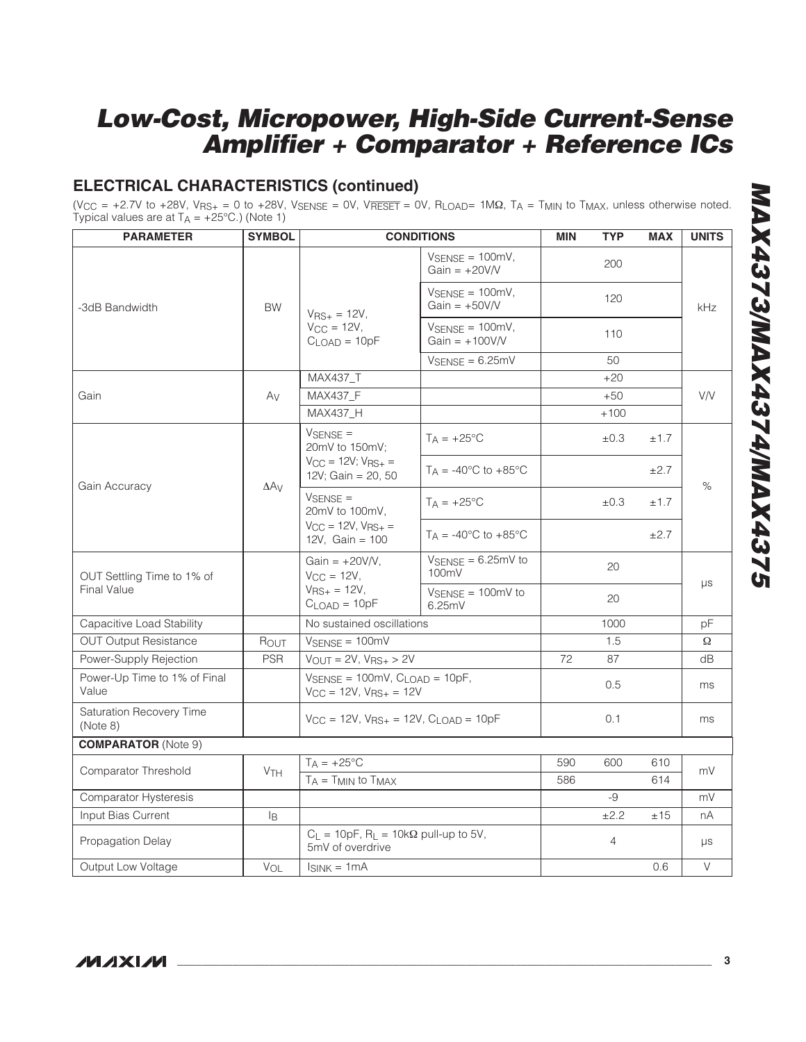# **ELECTRICAL CHARACTERISTICS (continued)**

(V<sub>CC</sub> = +2.7V to +28V, V<sub>RS+</sub> = 0 to +28V, V<sub>SENSE</sub> = 0V, V<sub>RESET</sub> = 0V, R<sub>LOAD</sub>= 1MΩ, T<sub>A</sub> = T<sub>MIN</sub> to T<sub>MAX</sub>, unless otherwise noted. Typical values are at  $T_A = +25^{\circ}C$ .) (Note 1)

| <b>PARAMETER</b>                      | <b>SYMBOL</b>         |                                                                                             | <b>CONDITIONS</b>                                                                                           | <b>MIN</b> | <b>TYP</b>     | <b>MAX</b> | <b>UNITS</b> |
|---------------------------------------|-----------------------|---------------------------------------------------------------------------------------------|-------------------------------------------------------------------------------------------------------------|------------|----------------|------------|--------------|
|                                       |                       |                                                                                             | $V_{\text{SENSE}} = 100 \text{mV}$ ,<br>Gain = $+20V/V$                                                     |            | 200            |            | kHz          |
| -3dB Bandwidth                        | <b>BW</b>             | $V_{RS+} = 12V,$                                                                            | $V_{\text{SENSE}} = 100 \text{mV}$ ,<br>Gain = $+50V/V$                                                     |            | 120            |            |              |
|                                       |                       | $V_{CC} = 12V$ ,<br>$C_{LOAD} = 10pF$                                                       | $V_{\text{SENSE}} = 100 \text{mV}$ ,<br>$Gain = +100V/V$                                                    |            | 110            |            |              |
|                                       |                       |                                                                                             | $V_{SENSE} = 6.25mV$                                                                                        |            | 50             |            |              |
|                                       |                       | MAX437_T                                                                                    |                                                                                                             |            | $+20$          |            |              |
| Gain                                  | Av                    | MAX437_F                                                                                    |                                                                                                             |            | $+50$          |            | <b>V/V</b>   |
|                                       |                       | <b>MAX437 H</b>                                                                             |                                                                                                             |            | $+100$         |            |              |
|                                       |                       | $V_{\rm SENSE}$ =<br>20mV to 150mV:                                                         | $T_A = +25$ °C                                                                                              |            | ±0.3           | ±1.7       |              |
| Gain Accuracy                         | $\Delta A_V$          | $V_{CC} = 12V$ ; $V_{BS+} =$<br>12V; Gain = 20, 50                                          | $T_A = -40^{\circ}$ C to $+85^{\circ}$ C                                                                    |            |                | ±2.7       | $\%$         |
|                                       |                       | $V_{\text{SENSE}} =$<br>20mV to 100mV,<br>$V_{CC} = 12V$ , $V_{RS+} =$<br>12V, $Gain = 100$ | $T_A = +25$ °C                                                                                              |            | ±0.3           | ±1.7       |              |
|                                       |                       |                                                                                             | $T_A = -40^{\circ}$ C to $+85^{\circ}$ C                                                                    |            |                | ±2.7       |              |
| OUT Settling Time to 1% of            |                       | Gain = $+20V/V$ ,<br>$V_{CC} = 12V$ ,<br>$V_{RS+} = 12V,$<br>$CLOAD = 10pF$                 | $V_{\text{SENSE}} = 6.25 \text{mV}$ to<br>100mV                                                             |            | 20             |            | $\mu s$      |
| <b>Final Value</b>                    |                       |                                                                                             | $V_{\text{SENSE}} = 100 \text{mV}$ to<br>6.25mV                                                             |            | 20             |            |              |
| Capacitive Load Stability             |                       | No sustained oscillations                                                                   |                                                                                                             |            | 1000           |            | pF           |
| <b>OUT Output Resistance</b>          | Rout                  | $V_{\text{SENSE}} = 100 \text{mV}$                                                          |                                                                                                             |            | 1.5            |            | Ω            |
| Power-Supply Rejection                | <b>PSR</b>            | $V_{OUT} = 2V$ , $V_{RS+} > 2V$                                                             |                                                                                                             | 72         | 87             |            | dB           |
| Power-Up Time to 1% of Final<br>Value |                       |                                                                                             | $V_{\text{SENSE}} = 100 \text{mV}$ , $C_{\text{LOAD}} = 10 \text{pF}$ ,<br>$V_{CC} = 12V$ , $V_{RS+} = 12V$ |            | 0.5            |            | ms           |
| Saturation Recovery Time<br>(Note 8)  |                       | $V_{CC}$ = 12V, $V_{RS+}$ = 12V, $C_{LOAD}$ = 10pF                                          |                                                                                                             |            | 0.1            |            | ms           |
| <b>COMPARATOR</b> (Note 9)            |                       |                                                                                             |                                                                                                             |            |                |            |              |
| Comparator Threshold                  |                       | $T_A = +25$ °C                                                                              |                                                                                                             | 590        | 600            | 610        | mV           |
|                                       | <b>V<sub>TH</sub></b> | $T_A = T_{MIN}$ to $T_{MAX}$                                                                |                                                                                                             | 586        |                | 614        |              |
| <b>Comparator Hysteresis</b>          |                       |                                                                                             |                                                                                                             |            | -9             |            | mV           |
| Input Bias Current                    | l <sub>B</sub>        |                                                                                             |                                                                                                             |            | ±2.2           | ±15        | nA           |
| Propagation Delay                     |                       | $C_L = 10pF$ , $R_L = 10k\Omega$ pull-up to 5V,<br>5mV of overdrive                         |                                                                                                             |            | $\overline{4}$ |            | $\mu s$      |
| Output Low Voltage                    | VOL                   | $I_{SINK} = 1mA$                                                                            |                                                                                                             |            | 0.6            | $\vee$     |              |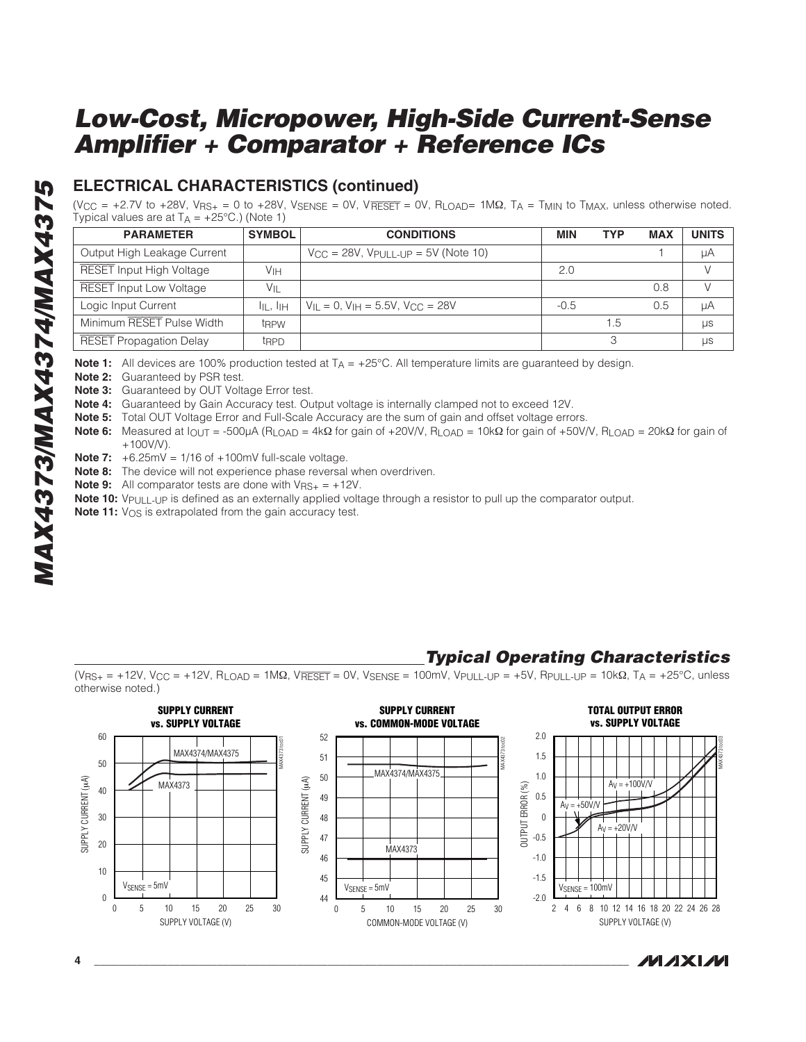# **ELECTRICAL CHARACTERISTICS (continued)**

 $(V_{\text{CC}} = +2.7V$  to  $+28V$ ,  $V_{\text{BS+}} = 0$  to  $+28V$ ,  $V_{\text{SENSE}} = 0V$ ,  $V_{\text{BEST}} = 0V$ ,  $R_{\text{LOAD}} = 1 \text{M}\Omega$ ,  $T_A = T_{\text{MIN}}$  to  $T_{\text{MAX}}$ , unless otherwise noted. Typical values are at  $T_A = +25^{\circ}C$ .) (Note 1)

| <b>PARAMETER</b>                | <b>SYMBOL</b>    | <b>CONDITIONS</b>                               | <b>MIN</b> | <b>TYP</b> | <b>MAX</b> | <b>UNITS</b> |
|---------------------------------|------------------|-------------------------------------------------|------------|------------|------------|--------------|
| Output High Leakage Current     |                  | $V_{CC} = 28V$ , $V_{PUIL-LUP} = 5V$ (Note 10)  |            |            |            | μA           |
| <b>RESET Input High Voltage</b> | Vін              |                                                 | 2.0        |            |            |              |
| <b>RESET Input Low Voltage</b>  | $V_{\parallel}$  |                                                 |            |            | 0.8        |              |
| Logic Input Current             | III . IIH        | $V_{II} = 0$ , $V_{IH} = 5.5V$ , $V_{CC} = 28V$ | $-0.5$     |            | 0.5        | μA           |
| Minimum RESET Pulse Width       | t <sub>RPW</sub> |                                                 |            | .5         |            | μs           |
| <b>RESET Propagation Delay</b>  | t <sub>RPD</sub> |                                                 |            |            |            | μs           |

**Note 1:** All devices are 100% production tested at  $T_A = +25^{\circ}$ C. All temperature limits are guaranteed by design.

**Note 2:** Guaranteed by PSR test.

**Note 3:** Guaranteed by OUT Voltage Error test.

**Note 4:** Guaranteed by Gain Accuracy test. Output voltage is internally clamped not to exceed 12V.

**Note 5:** Total OUT Voltage Error and Full-Scale Accuracy are the sum of gain and offset voltage errors.

**Note 6:** Measured at I<sub>OUT</sub> = -500μA (R<sub>LOAD</sub> = 4kΩ for gain of +20V/V, R<sub>LOAD</sub> = 10kΩ for gain of +50V/V, R<sub>LOAD</sub> = 20kΩ for gain of  $+100V/V$ ).

**Note 7:**  $+6.25mV = 1/16$  of  $+100mV$  full-scale voltage.

**Note 8:** The device will not experience phase reversal when overdriven.

**Note 9:** All comparator tests are done with  $V_{\text{RS}+} = +12V$ .

**Note 10:** V<sub>PULL-UP</sub> is defined as an externally applied voltage through a resistor to pull up the comparator output.

**Note 11:** V<sub>OS</sub> is extrapolated from the gain accuracy test.

# **Typical Operating Characteristics**

 $(V_{RS+} = +12V, V_{CC} = +12V, R_{LOAD} = 1M\Omega, V_{RESET} = 0V, V_{SENSE} = 100mV, V_{PULL-UP} = +5V, R_{PULL-UP} = 10k\Omega, T_A = +25^{\circ}C,$  unless otherwise noted.)

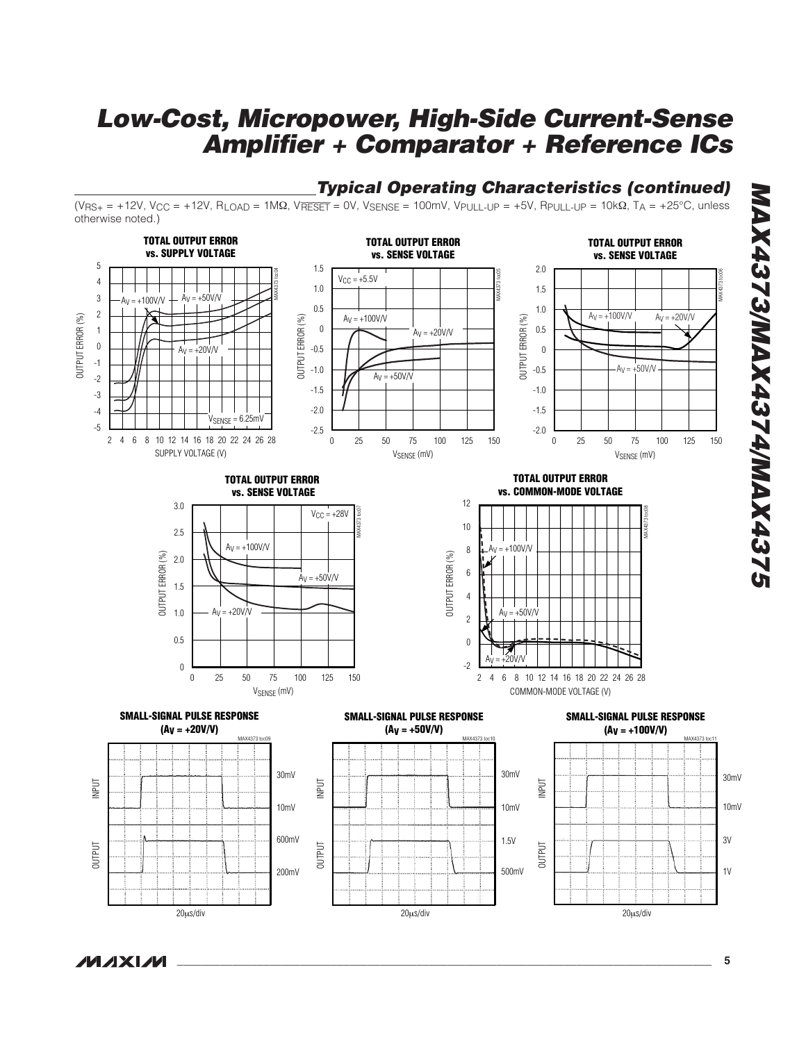# **Typical Operating Characteristics (continued)**

(V<sub>RS+</sub> = +12V, V<sub>CC</sub> = +12V, R<sub>LOAD</sub> = 1MΩ, V<del>RESET</del> = 0V, V<sub>SENSE</sub> = 100mV, V<sub>PULL-UP</sub> = +5V, R<sub>PULL-UP</sub> = 10kΩ, T<sub>A</sub> = +25°C, unless otherwise noted.)



# **MAX4373/MAX4374/MAX4375 GZEPXVM/PZEPXVMM/EZEPXVM**

 $\mu$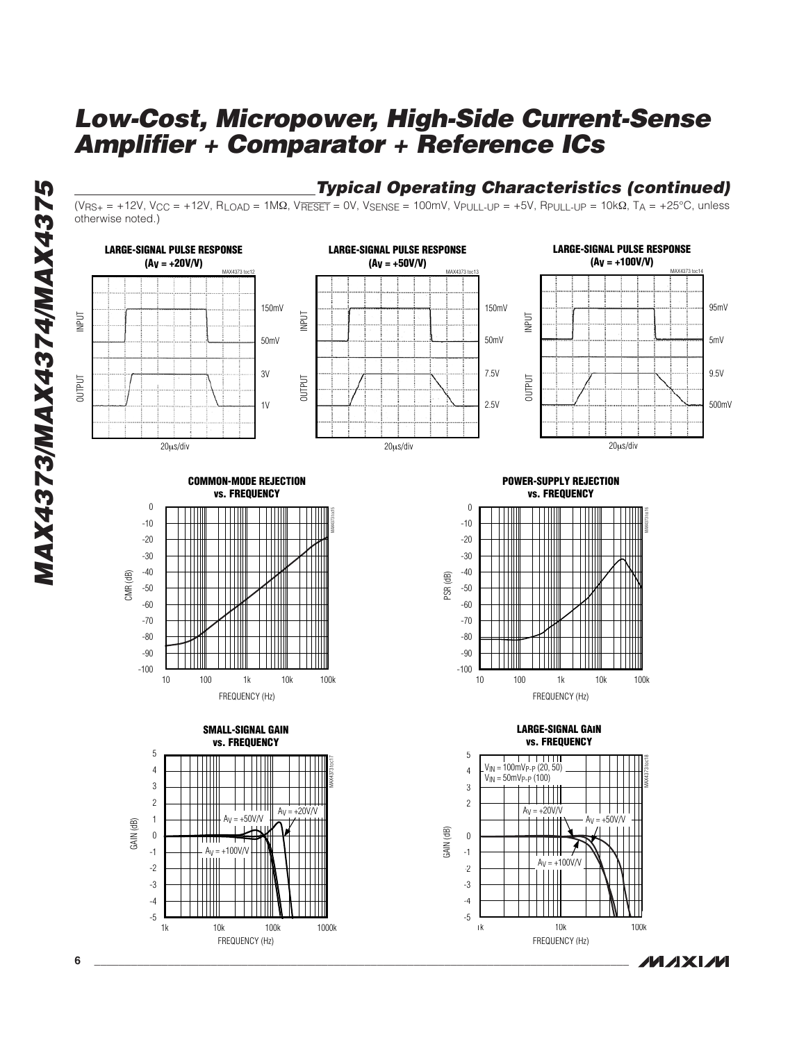**MAX4373/MAX4374/MAX4375 MAX4373/MAX4374/MAX4375** 



### **Typical Operating Characteristics (continued)**

(V<sub>RS+</sub> = +12V, V<sub>CC</sub> = +12V, R<sub>LOAD</sub> = 1MΩ, V<del>RESET</del> = 0V, V<sub>SENSE</sub> = 100mV, V<sub>PULL-UP</sub> = +5V, R<sub>PULL-UP</sub> = 10kΩ, T<sub>A</sub> = +25°C, unless otherwise noted.)

**MAXIM** 

1k 10k 100k

FREQUENCY (Hz)

1k 10k 100k 1000k

FREQUENCY (Hz)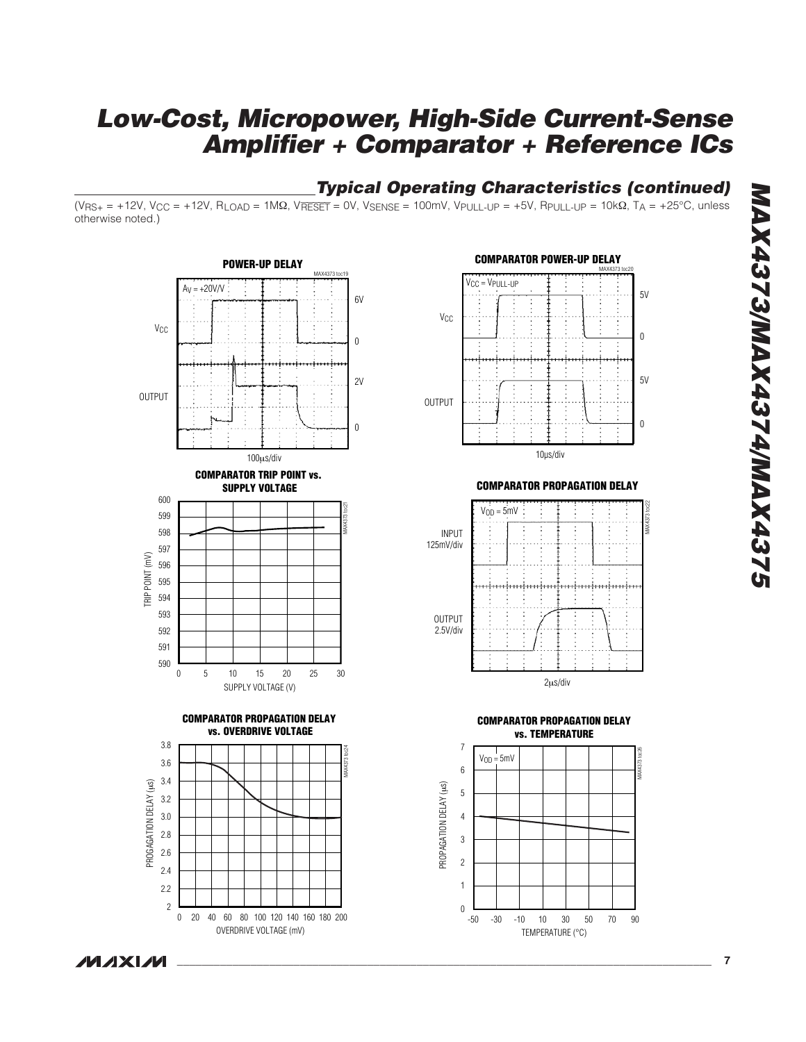# **Typical Operating Characteristics (continued)**

(V<sub>RS+</sub> = +12V, V<sub>CC</sub> = +12V, R<sub>LOAD</sub> = 1MΩ, V<del>RESET</del> = 0V, V<sub>SENSE</sub> = 100mV, V<sub>PULL-UP</sub> = +5V, R<sub>PULL-UP</sub> = 10kΩ, T<sub>A</sub> = +25°C, unless otherwise noted.)





**COMPARATOR PROPAGATION DELAY**



**COMPARATOR PROPAGATION DELAY vs. TEMPERATURE**

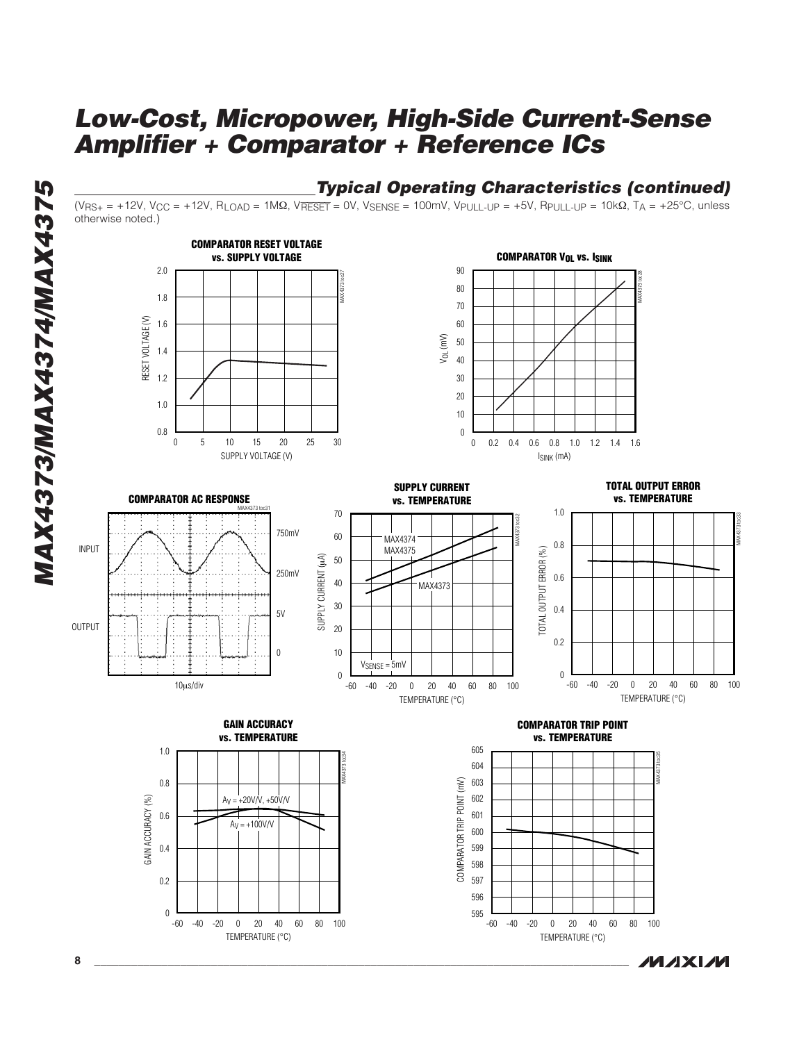



(V<sub>RS+</sub> = +12V, V<sub>CC</sub> = +12V, R<sub>LOAD</sub> = 1MΩ, V<del>RESET</del> = 0V, V<sub>SENSE</sub> = 100mV, V<sub>PULL-UP</sub> = +5V, R<sub>PULL-UP</sub> = 10kΩ, T<sub>A</sub> = +25°C, unless otherwise noted.)







10 µs/div













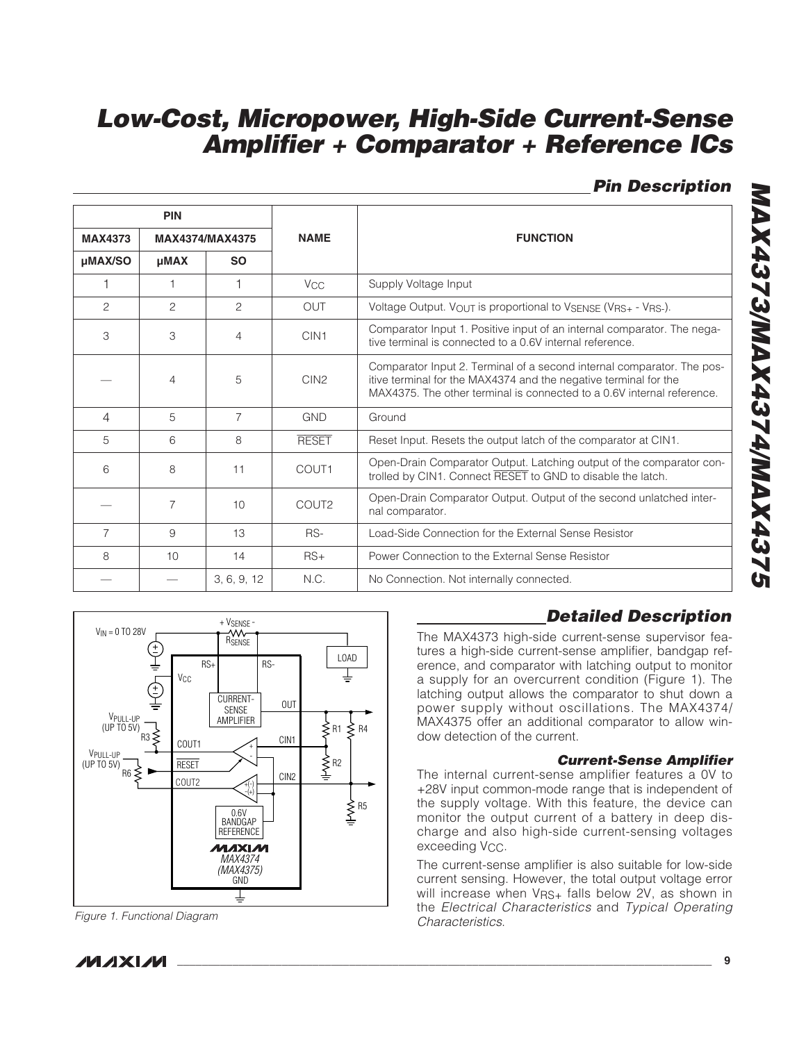**Pin Description**

|                                   | <b>PIN</b>     |                |                       |                                                                                                                                                                                                                      |  |  |
|-----------------------------------|----------------|----------------|-----------------------|----------------------------------------------------------------------------------------------------------------------------------------------------------------------------------------------------------------------|--|--|
| <b>MAX4373</b><br>MAX4374/MAX4375 |                |                | <b>NAME</b>           | <b>FUNCTION</b>                                                                                                                                                                                                      |  |  |
| µMAX/SO                           | <b>µMAX</b>    | <b>SO</b>      |                       |                                                                                                                                                                                                                      |  |  |
|                                   | 1              |                | <b>V<sub>CC</sub></b> | Supply Voltage Input                                                                                                                                                                                                 |  |  |
| 2                                 | $\mathfrak{D}$ | 2              | <b>OUT</b>            | Voltage Output. VOUT is proportional to VSENSE (VRS+ - VRS-).                                                                                                                                                        |  |  |
| 3                                 | 3              | 4              | CIN <sub>1</sub>      | Comparator Input 1. Positive input of an internal comparator. The nega-<br>tive terminal is connected to a 0.6V internal reference.                                                                                  |  |  |
|                                   | $\overline{4}$ | 5              | CIN <sub>2</sub>      | Comparator Input 2. Terminal of a second internal comparator. The pos-<br>itive terminal for the MAX4374 and the negative terminal for the<br>MAX4375. The other terminal is connected to a 0.6V internal reference. |  |  |
| $\overline{4}$                    | 5              | $\overline{7}$ | <b>GND</b>            | Ground                                                                                                                                                                                                               |  |  |
| 5                                 | 6              | 8              | <b>RESET</b>          | Reset Input. Resets the output latch of the comparator at CIN1.                                                                                                                                                      |  |  |
| 6                                 | 8              | 11             | COUT1                 | Open-Drain Comparator Output. Latching output of the comparator con-<br>trolled by CIN1. Connect RESET to GND to disable the latch.                                                                                  |  |  |
|                                   | $\overline{7}$ | 10             | COUT2                 | Open-Drain Comparator Output. Output of the second unlatched inter-<br>nal comparator.                                                                                                                               |  |  |
| 7                                 | 9              | 13             | RS-                   | Load-Side Connection for the External Sense Resistor                                                                                                                                                                 |  |  |
| 8                                 | 10             | 14             | $RS+$                 | Power Connection to the External Sense Resistor                                                                                                                                                                      |  |  |
|                                   |                | 3, 6, 9, 12    | N.C.                  | No Connection. Not internally connected.                                                                                                                                                                             |  |  |



Figure 1. Functional Diagram

# **Detailed Description**

The MAX4373 high-side current-sense supervisor features a high-side current-sense amplifier, bandgap reference, and comparator with latching output to monitor a supply for an overcurrent condition (Figure 1). The latching output allows the comparator to shut down a power supply without oscillations. The MAX4374/ MAX4375 offer an additional comparator to allow window detection of the current.

### **Current-Sense Amplifier**

The internal current-sense amplifier features a 0V to +28V input common-mode range that is independent of the supply voltage. With this feature, the device can monitor the output current of a battery in deep discharge and also high-side current-sensing voltages exceeding V<sub>CC</sub>.

The current-sense amplifier is also suitable for low-side current sensing. However, the total output voltage error will increase when VRS+ falls below 2V, as shown in the Electrical Characteristics and Typical Operating Characteristics.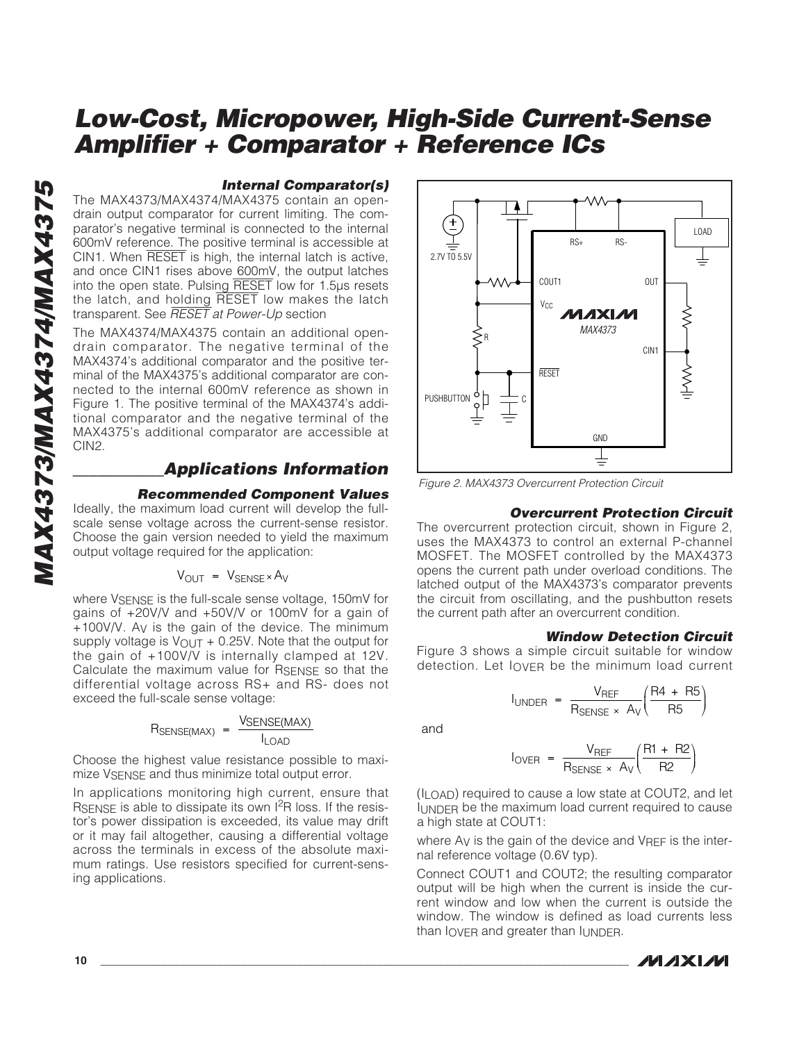### **Internal Comparator(s)**

The MAX4373/MAX4374/MAX4375 contain an opendrain output comparator for current limiting. The comparator's negative terminal is connected to the internal 600mV reference. The positive terminal is accessible at CIN1. When RESET is high, the internal latch is active, and once CIN1 rises above 600mV, the output latches into the open state. Pulsing RESET low for 1.5µs resets the latch, and holding RESET low makes the latch transparent. See **RESET** at Power-Up section

The MAX4374/MAX4375 contain an additional opendrain comparator. The negative terminal of the MAX4374's additional comparator and the positive terminal of the MAX4375's additional comparator are connected to the internal 600mV reference as shown in Figure 1. The positive terminal of the MAX4374's additional comparator and the negative terminal of the MAX4375's additional comparator are accessible at CIN2.

### **\_\_\_\_\_\_\_\_\_\_\_Applications Information**

### **Recommended Component Values**

Ideally, the maximum load current will develop the fullscale sense voltage across the current-sense resistor. Choose the gain version needed to yield the maximum output voltage required for the application:

### $V_{OUT} = V_{SENSE} \times A_V$

where VSENSE is the full-scale sense voltage, 150mV for gains of +20V/V and +50V/V or 100mV for a gain of +100V/V. A V is the gain of the device. The minimum supply voltage is  $V_{\text{OUT}} + 0.25V$ . Note that the output for the gain of +100V/V is internally clamped at 12V. Calculate the maximum value for RSENSE so that the differential voltage across RS+ and RS- does not exceed the full-scale sense voltage:

$$
R_{\text{SENSE}(\text{MAX})} = \frac{\text{V_{\text{SENSE}(\text{MAX})}}}{I_{\text{LOAD}}}
$$

Choose the highest value resistance possible to maximize VSENSE and thus minimize total output error.

In applications monitoring high current, ensure that RSENSE is able to dissipate its own I<sup>2</sup>R loss. If the resistor's power dissipation is exceeded, its value may drift or it may fail altogether, causing a differential voltage across the terminals in excess of the absolute maximum ratings. Use resistors specified for current-sensing applications.



Figure 2. MAX4373 Overcurrent Protection Circuit

### **Overcurrent Protection Circuit**

The overcurrent protection circuit, shown in Figure 2, uses the MAX4373 to control an external P-channel MOSFET. The MOSFET controlled by the MAX4373 opens the current path under overload conditions. The latched output of the MAX4373's comparator prevents the circuit from oscillating, and the pushbutton resets the current path after an overcurrent condition.

### **Window Detection Circuit**

Figure 3 shows a simple circuit suitable for window detection. Let IOVER be the minimum load current

$$
I_{\text{UNDER}} = \frac{V_{\text{REF}}}{R_{\text{SENSE}} \times A_{\text{V}}} \left(\frac{\text{R4 + R5}}{\text{R5}}\right)
$$
  
and  

$$
I_{\text{OVER}} = \frac{V_{\text{REF}}}{R_{\text{SENSE}}} \left(\frac{\text{R1 + R2}}{\text{R2}}\right)
$$

and

$$
I_{\text{OVER}} = \frac{V_{\text{REF}}}{R_{\text{SENSE}} \times A_V} \left( \frac{R1 + R2}{R2} \right)
$$

(ILOAD) required to cause a low state at COUT2, and let IUNDER be the maximum load current required to cause a high state at COUT1:

where A V is the gain of the device and VREF is the internal reference voltage (0.6V typ).

Connect COUT1 and COUT2; the resulting comparator output will be high when the current is inside the current window and low when the current is outside the window. The window is defined as load currents less than IOVER and greater than IUNDER .

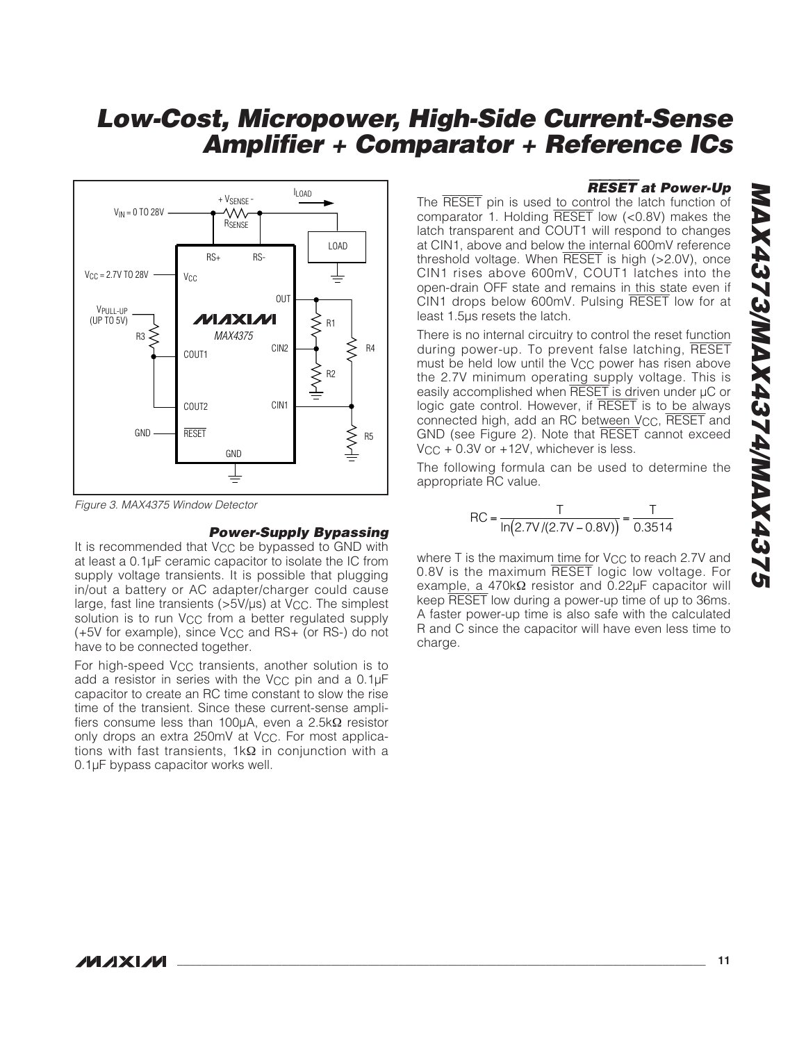

Figure 3. MAX4375 Window Detector

### **Power-Supply Bypassing**

It is recommended that  $V_{CC}$  be bypassed to GND with at least a 0.1µF ceramic capacitor to isolate the IC from supply voltage transients. It is possible that plugging in/out a battery or AC adapter/charger could cause large, fast line transients  $(>5V/\mu s)$  at  $V_{CC}$ . The simplest solution is to run V<sub>CC</sub> from a better regulated supply (+5V for example), since VCC and RS+ (or RS-) do not have to be connected together.

For high-speed V<sub>CC</sub> transients, another solution is to add a resistor in series with the V<sub>CC</sub> pin and a 0.1µF capacitor to create an RC time constant to slow the rise time of the transient. Since these current-sense amplifiers consume less than 100µA, even a 2.5kΩ resistor only drops an extra 250mV at V<sub>CC</sub>. For most applications with fast transients, 1kΩ in conjunction with a 0.1µF bypass capacitor works well.

### RESET **at Power-Up**

The RESET pin is used to control the latch function of comparator 1. Holding RESET low (<0.8V) makes the latch transparent and COUT1 will respond to changes at CIN1, above and below the internal 600mV reference threshold voltage. When RESET is high (>2.0V), once CIN1 rises above 600mV, COUT1 latches into the open-drain OFF state and remains in this state even if CIN1 drops below 600mV. Pulsing RESET low for at least 1.5µs resets the latch.

There is no internal circuitry to control the reset function during power-up. To prevent false latching, RESET must be held low until the  $V_{CC}$  power has risen above the 2.7V minimum operating supply voltage. This is easily accomplished when RESET is driven under µC or logic gate control. However, if RESET is to be always connected high, add an RC between V<sub>CC</sub>, RESET and GND (see Figure 2). Note that RESET cannot exceed V<sub>CC</sub> + 0.3V or +12V, whichever is less.

The following formula can be used to determine the appropriate RC value.

$$
RC = \frac{T}{\ln(2.7V/(2.7V - 0.8V))} = \frac{T}{0.3514}
$$

where T is the maximum time for V<sub>CC</sub> to reach 2.7V and 0.8V is the maximum RESET logic low voltage. For example, a 470kΩ resistor and 0.22µF capacitor will keep RESET low during a power-up time of up to 36ms. A faster power-up time is also safe with the calculated R and C since the capacitor will have even less time to charge.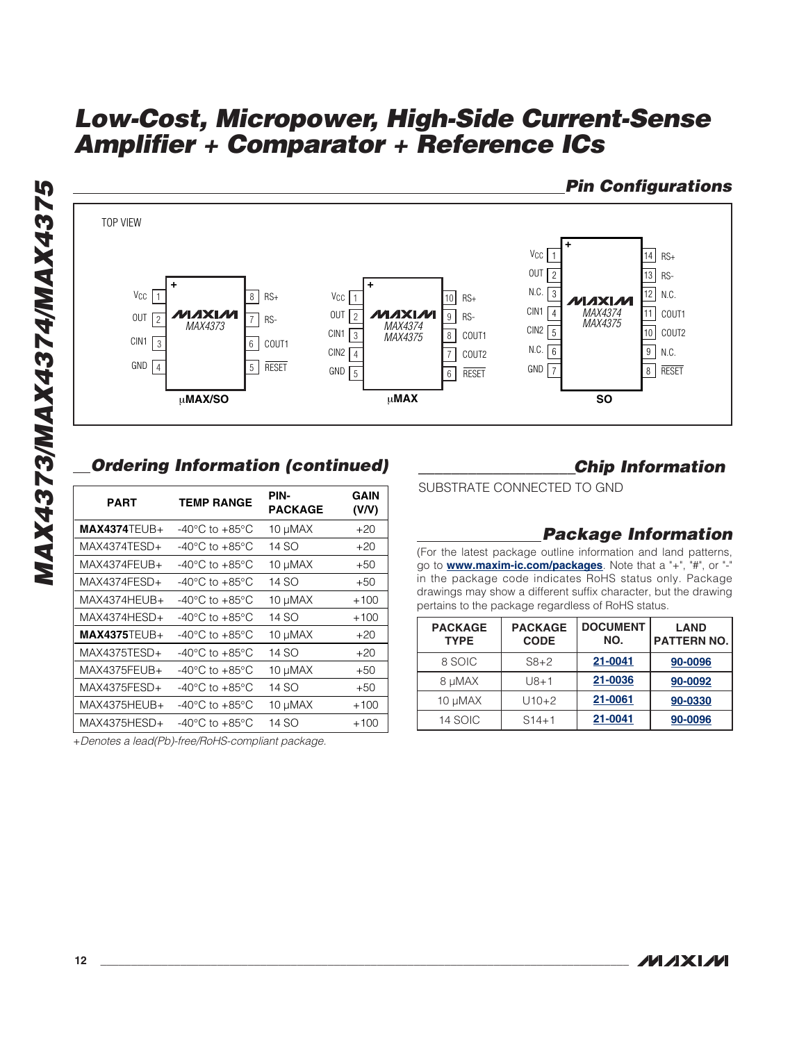

# **Ordering Information (continued)**

| $VCC$   1<br>OUT<br>$\overline{2}$<br>CIN1<br>3<br>GND<br>$\vert$ 4 | ୪<br><b>AXIM</b><br>$\overline{7}$<br>MAX4373<br>6<br>5   | $HS+$<br>RS-<br>COUT1<br><b>RESET</b> | $v_{\text{CC}}$   1<br>OUT<br>$\overline{2}$<br>IV.<br>CIN1<br>M<br>3<br>CIN <sub>2</sub><br>$\overline{4}$<br>GND<br>5 |
|---------------------------------------------------------------------|-----------------------------------------------------------|---------------------------------------|-------------------------------------------------------------------------------------------------------------------------|
|                                                                     | <b>uMAX/SO</b><br><b>Ordering Information (continued)</b> |                                       | ţ                                                                                                                       |
| <b>PART</b>                                                         | <b>TEMP RANGE</b>                                         | PIN-<br><b>PACKAGE</b>                | <b>GAIN</b><br>(V/V)                                                                                                    |
| $MAX4374TEUB+$                                                      | -40 $^{\circ}$ C to +85 $^{\circ}$ C                      | 10 µMAX                               | $+20$                                                                                                                   |
| MAX4374TESD+                                                        | -40 $^{\circ}$ C to +85 $^{\circ}$ C                      | 14 SO                                 | $+20$                                                                                                                   |
| MAX4374FEUB+                                                        | -40 $^{\circ}$ C to +85 $^{\circ}$ C                      | 10 µMAX                               | $+50$                                                                                                                   |
| MAX4374FESD+                                                        | -40 $^{\circ}$ C to +85 $^{\circ}$ C                      | 14 SO                                 | $+50$                                                                                                                   |
| MAX4374HEUB+                                                        | -40 $^{\circ}$ C to +85 $^{\circ}$ C                      | 10 µMAX                               | $+100$                                                                                                                  |
| MAX4374HESD+                                                        | -40 $^{\circ}$ C to +85 $^{\circ}$ C                      | 14 SO                                 | $+100$                                                                                                                  |
| $MAX4375TEUB+$                                                      | -40 $^{\circ}$ C to +85 $^{\circ}$ C                      | 10 µMAX                               | $+20$                                                                                                                   |
| MAX4375TESD+                                                        | -40 $^{\circ}$ C to +85 $^{\circ}$ C                      | 14 SO                                 | $+20$                                                                                                                   |
| MAX4375FEUB+                                                        | -40 $^{\circ}$ C to +85 $^{\circ}$ C                      | 10 µMAX                               | $+50$                                                                                                                   |
| MAX4375FESD+                                                        | -40 $^{\circ}$ C to +85 $^{\circ}$ C                      | 14 SO                                 | $+50$                                                                                                                   |
| MAX4375HEUB+                                                        | -40 $^{\circ}$ C to +85 $^{\circ}$ C                      | 10 µMAX                               | $+100$                                                                                                                  |
| MAX4375HESD+                                                        | -40 $^{\circ}$ C to +85 $^{\circ}$ C                      | 14 SO                                 | $+100$                                                                                                                  |
|                                                                     |                                                           |                                       |                                                                                                                         |

+Denotes a lead(Pb)-free/RoHS-compliant package.

### **\_\_\_\_\_\_\_\_\_\_\_\_\_\_\_\_\_\_\_Chip Information**

SUBSTRATE CONNECTED TO GND

### **Package Information**

(For the latest package outline information and land patterns, go to **[www.maxim-ic.com/packages](http://www.maxim-ic.com/packages)**. Note that a "+", "#", or "-" in the package code indicates RoHS status only. Package drawings may show a different suffix character, but the drawing pertains to the package regardless of RoHS status.

| <b>PACKAGE</b><br><b>TYPE</b> | <b>PACKAGE</b><br><b>CODE</b> | <b>DOCUMENT</b><br>NO. | <b>LAND</b><br><b>PATTERN NO.</b> |
|-------------------------------|-------------------------------|------------------------|-----------------------------------|
| 8 SOIC                        | $S8 + 2$                      | 21-0041                | 90-0096                           |
| 8 µMAX                        | $U8 + 1$                      | 21-0036                | 90-0092                           |
| 10 µMAX                       | $U10+2$                       | 21-0061                | 90-0330                           |
| 14 SOIC                       | $S14 + 1$                     | 21-0041                | 90-0096                           |